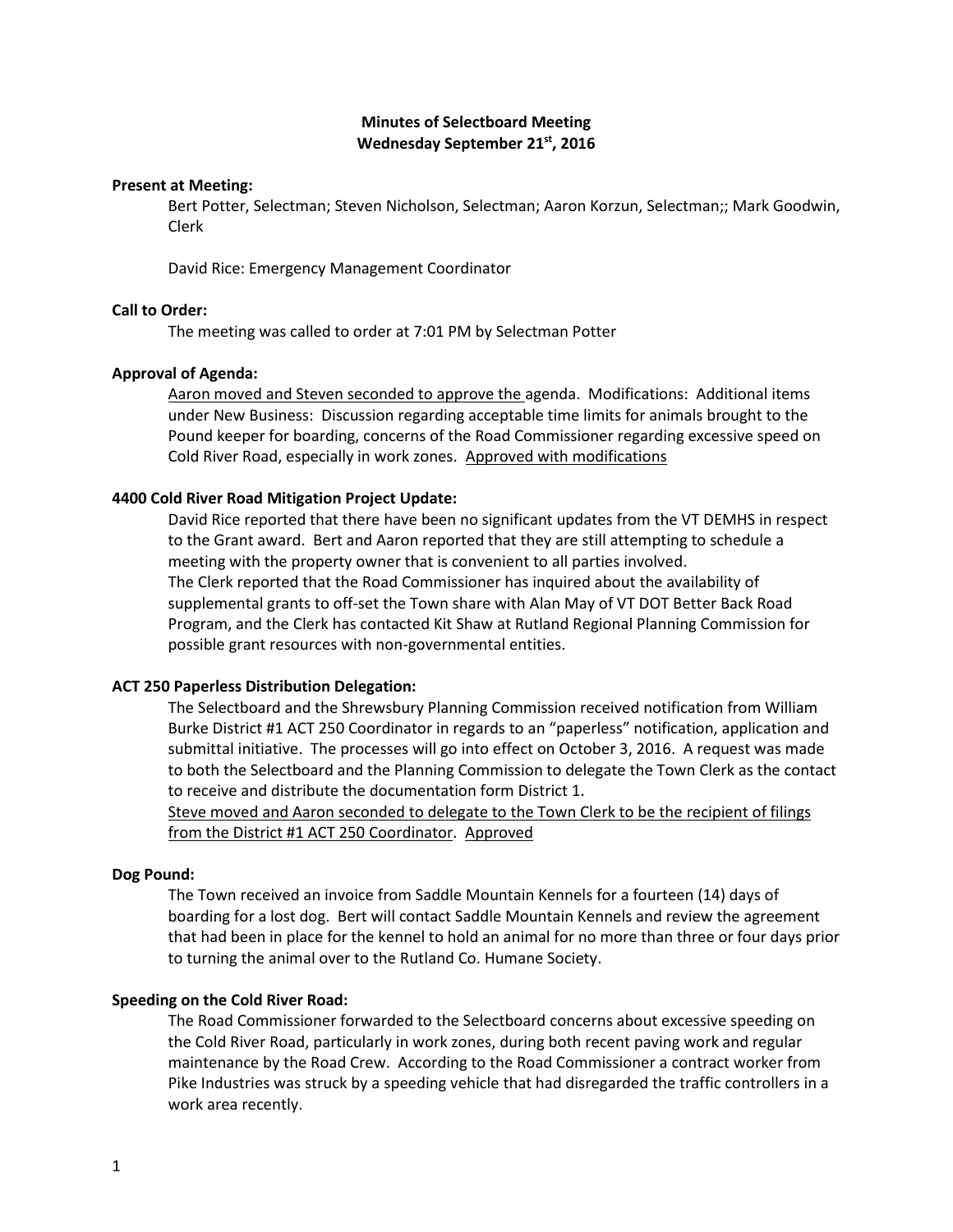# **Minutes of Selectboard Meeting Wednesday September 21st, 2016**

### **Present at Meeting:**

Bert Potter, Selectman; Steven Nicholson, Selectman; Aaron Korzun, Selectman;; Mark Goodwin, Clerk

David Rice: Emergency Management Coordinator

# **Call to Order:**

The meeting was called to order at 7:01 PM by Selectman Potter

### **Approval of Agenda:**

Aaron moved and Steven seconded to approve the agenda. Modifications: Additional items under New Business: Discussion regarding acceptable time limits for animals brought to the Pound keeper for boarding, concerns of the Road Commissioner regarding excessive speed on Cold River Road, especially in work zones. Approved with modifications

### **4400 Cold River Road Mitigation Project Update:**

David Rice reported that there have been no significant updates from the VT DEMHS in respect to the Grant award. Bert and Aaron reported that they are still attempting to schedule a meeting with the property owner that is convenient to all parties involved. The Clerk reported that the Road Commissioner has inquired about the availability of supplemental grants to off-set the Town share with Alan May of VT DOT Better Back Road Program, and the Clerk has contacted Kit Shaw at Rutland Regional Planning Commission for possible grant resources with non-governmental entities.

### **ACT 250 Paperless Distribution Delegation:**

The Selectboard and the Shrewsbury Planning Commission received notification from William Burke District #1 ACT 250 Coordinator in regards to an "paperless" notification, application and submittal initiative. The processes will go into effect on October 3, 2016. A request was made to both the Selectboard and the Planning Commission to delegate the Town Clerk as the contact to receive and distribute the documentation form District 1.

Steve moved and Aaron seconded to delegate to the Town Clerk to be the recipient of filings from the District #1 ACT 250 Coordinator. Approved

#### **Dog Pound:**

The Town received an invoice from Saddle Mountain Kennels for a fourteen (14) days of boarding for a lost dog. Bert will contact Saddle Mountain Kennels and review the agreement that had been in place for the kennel to hold an animal for no more than three or four days prior to turning the animal over to the Rutland Co. Humane Society.

### **Speeding on the Cold River Road:**

The Road Commissioner forwarded to the Selectboard concerns about excessive speeding on the Cold River Road, particularly in work zones, during both recent paving work and regular maintenance by the Road Crew. According to the Road Commissioner a contract worker from Pike Industries was struck by a speeding vehicle that had disregarded the traffic controllers in a work area recently.